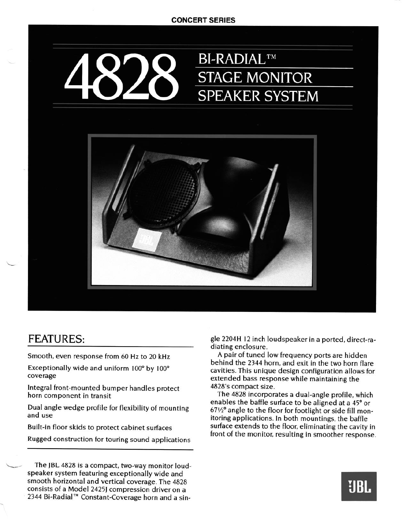## **CONCERT SERIES**



## **FEATURES:**

**.** 

**Smooth, even response from 60 Hz to 20 kHz** 

**Exceptionally wide and uniform 100" by 100" coverage** 

**Integral front-mounted bumper handles protect horn component in transit** 

**Dual angle wedge profile for flexibility of mounting and use** 

**Built-in floor skids to protect cabinet surfaces** 

**Rugged construction for touring sound applications** 

The JBL 4828 is a compact, two-way monitor loud**speaker system featuring exceptionally wide and smooth horizontal and vertical coverage. The 4828 consists of a Model 2425J compression driver on a 2344 Bi-Radial'" Constant-Coverage horn and a sin-**  **gle 2204H I2 inch loudspeaker in a ported, direct-radiating enclosure.** 

**A pair of tuned low frequency ports are hidden behind the 2344 horn, and exit in the two horn flare cavities. This unique design configuration allows for extended bass response while maintaining the 4828's compact size.** 

**The 4828 incorporates a dual-angle profile, which enables the baffle surface to be aligned at a 45' or 67%" angle to the floor for footlight or side fill monitoring applications. In both mountings, the baffle surface extends to the floor, eliminating the cavity in front of the monitor, resulting in smoother response.**